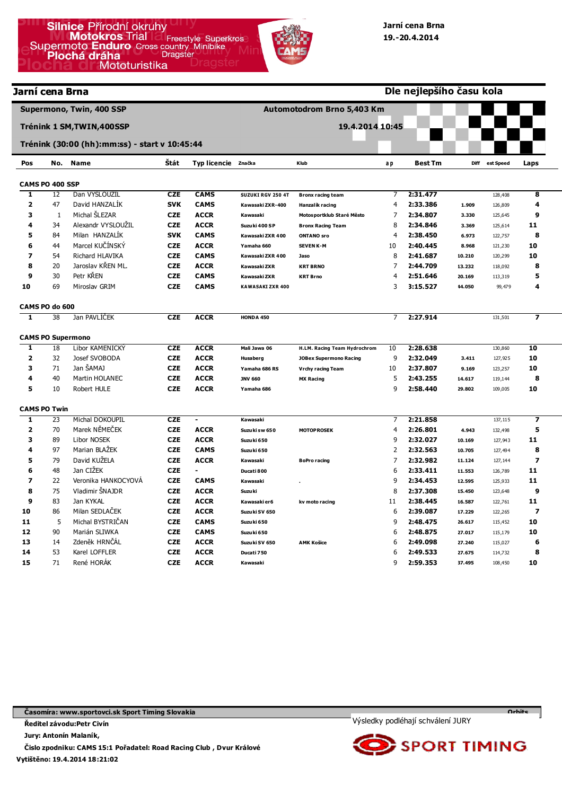| Jarní cena Brna         |                     |                                               |            |                     | Dle nejlepšího času kola |                               |                |                |        |           |                          |  |  |
|-------------------------|---------------------|-----------------------------------------------|------------|---------------------|--------------------------|-------------------------------|----------------|----------------|--------|-----------|--------------------------|--|--|
|                         |                     | Supermono, Twin, 400 SSP                      |            |                     |                          | Automotodrom Brno 5,403 Km    |                |                |        |           |                          |  |  |
|                         |                     | Trénink 1 SM, TWIN, 400SSP                    |            |                     |                          | 19.4.2014 10:45               |                |                |        |           |                          |  |  |
|                         |                     | Trénink (30:00 (hh):mm:ss) - start v 10:45:44 |            |                     |                          |                               |                |                |        |           |                          |  |  |
| Pos                     | No.                 | <b>Name</b>                                   | Štát       | Typ licencie značka |                          | Klub                          | a p            | <b>Best Tm</b> | Diff   | est Speed | Laps                     |  |  |
|                         | CAMS PO 400 SSP     |                                               |            |                     |                          |                               |                |                |        |           |                          |  |  |
| ı                       | 12                  | Dan VYSLOUZIL                                 | <b>CZE</b> | <b>CAMS</b>         | SUZUKI RGV 250 4T        | <b>Bronx racing team</b>      | 7              | 2:31.477       |        | 128,408   | 8                        |  |  |
| $\overline{\mathbf{2}}$ | 47                  | David HANZALÍK                                | <b>SVK</b> | <b>CAMS</b>         | Kawasaki ZXR-400         | Hanzalík racing               | $\overline{4}$ | 2:33.386       | 1.909  | 126,809   | 4                        |  |  |
| 3                       | $\mathbf{1}$        | Michal ŠLEZAR                                 | <b>CZE</b> | <b>ACCR</b>         | Kawasaki                 | Motos portklub Staré Město    | 7              | 2:34.807       | 3.330  | 125,645   | 9                        |  |  |
| 4                       | 34                  | Alexandr VYSLOUŽIL                            | <b>CZE</b> | <b>ACCR</b>         | Suzuki 400 SP            | <b>Bronx Racing Team</b>      | 8              | 2:34.846       | 3.369  | 125,614   | 11                       |  |  |
| 5                       | 84                  | Milan HANZALÍK                                | <b>SVK</b> | <b>CAMS</b>         | Kawasaki ZXR 400         | <b>ONTANO</b> sro             | 4              | 2:38.450       | 6.973  | 122,757   | 8                        |  |  |
| 6                       | 44                  | Marcel KUČÍNSKÝ                               | <b>CZE</b> | <b>ACCR</b>         | Yamaha 660               | <b>SEVEN K-M</b>              | 10             | 2:40.445       | 8.968  | 121,230   | 10                       |  |  |
| $\overline{z}$          | 54                  | Richard HLAVIKA                               | <b>CZE</b> | <b>CAMS</b>         | Kawasaki ZXR 400         | Jaso                          | 8              | 2:41.687       | 10.210 | 120,299   | 10                       |  |  |
| 8                       | 20                  | Jaroslav KŘEN ML.                             | <b>CZE</b> | <b>ACCR</b>         | Kawasaki ZXR             | <b>KRT BRNO</b>               | 7              | 2:44.709       | 13.232 | 118,092   | 8                        |  |  |
| $\boldsymbol{9}$        | 30                  | Petr KŘEN                                     | <b>CZE</b> | <b>CAMS</b>         | Kawasaki ZXR             | <b>KRT Brno</b>               | 4              | 2:51.646       | 20.169 | 113,319   | 5                        |  |  |
| 10                      | 69                  | Miroslav GRIM                                 | <b>CZE</b> | <b>CAMS</b>         | <b>KAWASAKI ZXR 400</b>  |                               | 3              | 3:15.527       | 44.050 | 99,479    | 4                        |  |  |
|                         | CAMS PO do 600      |                                               |            |                     |                          |                               |                |                |        |           |                          |  |  |
| ī                       | 38                  | Jan PAVLIČEK                                  | <b>CZE</b> | <b>ACCR</b>         | HONDA 450                |                               | 7              | 2:27.914       |        | 131,501   | 7                        |  |  |
|                         |                     |                                               |            |                     |                          |                               |                |                |        |           |                          |  |  |
|                         |                     | <b>CAMS PO Supermono</b>                      |            |                     |                          |                               |                |                |        |           |                          |  |  |
| 1                       | 18                  | Libor KAMENICKY                               | CZE        | <b>ACCR</b>         | Mali Jawa 06             | H.LM. Racing Team Hydrochrom  | 10             | 2:28.638       |        | 130,860   | 10                       |  |  |
| $\overline{\mathbf{2}}$ | 32                  | Josef SVOBODA                                 | <b>CZE</b> | <b>ACCR</b>         | Husaberg                 | <b>JOBex Supermono Racing</b> | 9              | 2:32.049       | 3.411  | 127,925   | 10                       |  |  |
| 3                       | 71                  | Jan ŠAMAJ                                     | <b>CZE</b> | <b>ACCR</b>         | Yamaha 686 RS            | <b>Vrchy racing Team</b>      | 10             | 2:37.807       | 9.169  | 123,257   | 10                       |  |  |
| 4                       | 40                  | Martin HOLANEC                                | <b>CZE</b> | <b>ACCR</b>         | <b>JNV 660</b>           | <b>MX Racing</b>              | 5              | 2:43.255       | 14.617 | 119,144   | 8                        |  |  |
| 5                       | 10                  | Robert HULE                                   | <b>CZE</b> | <b>ACCR</b>         | Yamaha 686               |                               | 9              | 2:58.440       | 29.802 | 109,005   | 10                       |  |  |
|                         | <b>CAMS PO Twin</b> |                                               |            |                     |                          |                               |                |                |        |           |                          |  |  |
| 1                       | 23                  | Michal DOKOUPIL                               | <b>CZE</b> | $\blacksquare$      | Kawasaki                 |                               | 7              | 2:21.858       |        | 137, 115  | 7                        |  |  |
| $\overline{\mathbf{2}}$ | 70                  | Marek NĚMEČEK                                 | <b>CZE</b> | <b>ACCR</b>         | Suzuki sw 650            | <b>MOTOPROSEK</b>             | 4              | 2:26.801       | 4.943  | 132,498   | 5                        |  |  |
| 3                       | 89                  | Libor NOSEK                                   | <b>CZE</b> | <b>ACCR</b>         | Suzu ki 650              |                               | 9              | 2:32.027       | 10.169 | 127,943   | 11                       |  |  |
| 4                       | 97                  | Marian BLAŽEK                                 | <b>CZE</b> | <b>CAMS</b>         | Suzuki 650               |                               | 2              | 2:32.563       | 10.705 | 127,494   | 8                        |  |  |
| 5                       | 79                  | David KUŽELA                                  | <b>CZE</b> | <b>ACCR</b>         | Kawasaki                 | <b>BoPro racing</b>           | $\overline{7}$ | 2:32.982       | 11.124 | 127, 144  | $\overline{z}$           |  |  |
| 6                       | 48                  | Jan CIŽEK                                     | <b>CZE</b> |                     | Ducati 800               |                               | 6              | 2:33.411       | 11.553 | 126,789   | 11                       |  |  |
| $\overline{z}$          | 22                  | Veronika HANKOCYOVÁ                           | <b>CZE</b> | <b>CAMS</b>         | Kawasaki                 |                               | 9              | 2:34.453       | 12.595 | 125,933   | 11                       |  |  |
| 8                       | 75                  | Vladimir ŠNAJDR                               | <b>CZE</b> | <b>ACCR</b>         | Suzu ki                  |                               | 8              | 2:37.308       | 15.450 | 123,648   | 9                        |  |  |
| $\boldsymbol{9}$        | 83                  | Jan KYKAL                                     | <b>CZE</b> | <b>ACCR</b>         | Kawasaki er6             | kv moto racing                | 11             | 2:38.445       | 16.587 | 122,761   | 11                       |  |  |
| 10                      | 86                  | Milan SEDLAČEK                                | <b>CZE</b> | <b>ACCR</b>         | Suzuki SV 650            |                               | 6              | 2:39.087       | 17.229 | 122,265   | $\overline{\phantom{a}}$ |  |  |
| 11                      | 5                   | Michal BYSTRIČAN                              | <b>CZE</b> | <b>CAMS</b>         | Suzuki 650               |                               | 9              | 2:48.475       | 26.617 | 115,452   | 10                       |  |  |
| 12                      | 90                  | Marián SLIWKA                                 | <b>CZE</b> | <b>CAMS</b>         | Suzuki 650               |                               | 6              | 2:48.875       | 27.017 | 115,179   | 10                       |  |  |
| 13                      | 14                  | Zdeněk HRNČÁL                                 | <b>CZE</b> | <b>ACCR</b>         | Suzuki SV 650            | <b>AMK Košice</b>             | 6              | 2:49.098       | 27.240 | 115,027   | 6                        |  |  |
| 14                      | 53                  | Karel LOFFLER                                 | <b>CZE</b> | <b>ACCR</b>         | Ducati 750               |                               | 6              | 2:49.533       | 27.675 | 114,732   | 8                        |  |  |

**Časomíra: www.sportovci.sk Sport Timing Slovakia** 

**Ředitel závodu:Petr Civín** 

**Jury: Antonín Malaník,** 

**15** 

71

René HORÁK

**Vytištěno: 19.4.2014 18:21:02 Čislo zpodniku: CAMS 15:1 Pořadatel: Road Racing Club , Dvur Králové**

**CZE** 

**ACCR** 

**Kawasaki** 



9

**2:59.353** 

**37.495** 

108,450

**10** 

**Orbits** 

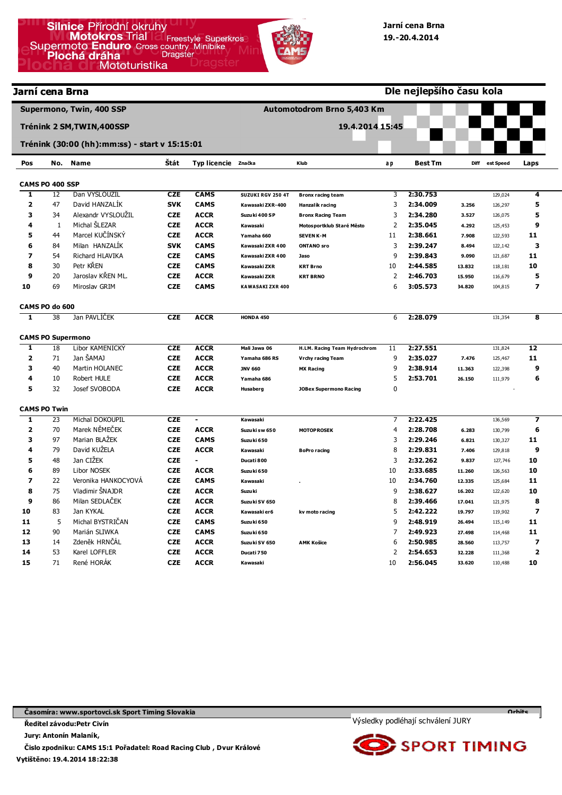| Jarní cena Brna         |                       |                                               |                          |                            | Dle nejlepšího času kola   |                                             |                |                      |        |                    |                         |  |
|-------------------------|-----------------------|-----------------------------------------------|--------------------------|----------------------------|----------------------------|---------------------------------------------|----------------|----------------------|--------|--------------------|-------------------------|--|
|                         |                       | Supermono, Twin, 400 SSP                      |                          |                            | Automotodrom Brno 5,403 Km |                                             |                |                      |        |                    |                         |  |
|                         |                       | Trénink 2 SM, TWIN, 400SSP                    |                          |                            |                            | 19.4.2014 15:45                             |                |                      |        |                    |                         |  |
|                         |                       | Trénink (30:00 (hh):mm:ss) - start v 15:15:01 |                          |                            |                            |                                             |                |                      |        |                    |                         |  |
| Pos                     | No.                   | <b>Name</b>                                   | Štát                     | Typ licencie značka        |                            | Klub                                        | a p            | <b>Best Tm</b>       | Diff   | est Speed          | Laps                    |  |
|                         |                       |                                               |                          |                            |                            |                                             |                |                      |        |                    |                         |  |
| T                       | CAMS PO 400 SSP<br>12 | Dan VYSLOUZIL                                 | <b>CZE</b>               | <b>CAMS</b>                | SUZUKI RGV 250 4T          |                                             | 3              | 2:30.753             |        | 129,024            | 4                       |  |
| $\overline{\mathbf{2}}$ | 47                    | David HANZALIK                                | <b>SVK</b>               | <b>CAMS</b>                | Kawasaki ZXR-400           | <b>Bronx racing team</b>                    | 3              | 2:34.009             | 3.256  |                    | 5                       |  |
| 3                       | 34                    | Alexandr VYSLOUŽIL                            | <b>CZE</b>               | <b>ACCR</b>                | Suzuki 400 SP              | Hanzalík racing<br><b>Bronx Racing Team</b> | 3              | 2:34.280             | 3.527  | 126,297<br>126,075 | 5                       |  |
| 4                       | 1                     | Michal SLEZAR                                 | <b>CZE</b>               | <b>ACCR</b>                | Kawasaki                   | Motos portklub Staré Město                  | 2              | 2:35.045             | 4.292  | 125,453            | 9                       |  |
| 5                       | 44                    | Marcel KUČÍNSKÝ                               | <b>CZE</b>               | <b>ACCR</b>                | Yamaha 660                 | <b>SEVEN K-M</b>                            | 11             | 2:38.661             | 7.908  | 122,593            | 11                      |  |
| 6                       | 84                    | Milan HANZALÍK                                | <b>SVK</b>               | <b>CAMS</b>                | Kawasaki ZXR 400           | <b>ONTANO</b> sro                           | 3              | 2:39.247             | 8.494  | 122,142            | 3                       |  |
| $\overline{\mathbf{z}}$ | 54                    | Richard HLAVIKA                               | <b>CZE</b>               | <b>CAMS</b>                | Kawasaki ZXR 400           | Jaso                                        | 9              | 2:39.843             | 9.090  | 121,687            | 11                      |  |
| 8                       | 30                    | Petr KŘEN                                     | <b>CZE</b>               | <b>CAMS</b>                | Kawasaki ZXR               | <b>KRT Brno</b>                             | 10             | 2:44.585             | 13.832 | 118,181            | 10                      |  |
| 9                       | 20                    | Jaroslav KŘEN ML.                             | <b>CZE</b>               | <b>ACCR</b>                | Kawasaki ZXR               | <b>KRT BRNO</b>                             | $\overline{2}$ | 2:46.703             | 15.950 | 116,679            | 5                       |  |
| 10                      | 69                    | Miroslav GRIM                                 | <b>CZE</b>               | <b>CAMS</b>                | KAWASAKI ZXR 400           |                                             | 6              | 3:05.573             | 34.820 | 104,815            | $\overline{\mathbf{z}}$ |  |
|                         |                       |                                               |                          |                            |                            |                                             |                |                      |        |                    |                         |  |
|                         | CAMS PO do 600        |                                               |                          |                            |                            |                                             |                |                      |        |                    |                         |  |
| $\overline{\mathbf{1}}$ | 38                    | Jan PAVLIČEK                                  | <b>CZE</b>               | <b>ACCR</b>                | HONDA 450                  |                                             | 6              | 2:28.079             |        | 131,354            | 8                       |  |
|                         |                       |                                               |                          |                            |                            |                                             |                |                      |        |                    |                         |  |
| 1                       | 18                    | <b>CAMS PO Supermono</b><br>Libor KAMENICKY   | <b>CZE</b>               | <b>ACCR</b>                |                            |                                             |                | 2:27.551             |        |                    |                         |  |
| $\overline{\mathbf{2}}$ |                       | Jan ŠAMAJ                                     |                          |                            | Mali Jawa 06               | H.LM. Racing Team Hydrochrom                | 11             |                      |        | 131,824            | 12                      |  |
| 3                       | 71<br>40              |                                               | <b>CZE</b>               | <b>ACCR</b>                | Yamaha 686 RS              | <b>Vrchy racing Team</b>                    | 9<br>9         | 2:35.027             | 7.476  | 125,467            | 11<br>9                 |  |
| 4                       | 10                    | Martin HOLANEC<br>Robert HULE                 | <b>CZE</b><br><b>CZE</b> | <b>ACCR</b><br><b>ACCR</b> | <b>JNV 660</b>             | <b>MX Racing</b>                            | 5              | 2:38.914<br>2:53.701 | 11.363 | 122,398            | 6                       |  |
| 5                       | 32                    | Josef SVOBODA                                 | <b>CZE</b>               | <b>ACCR</b>                | Yamaha 686                 |                                             | $\mathbf{0}$   |                      | 26.150 | 111,979            |                         |  |
|                         |                       |                                               |                          |                            | Husaberg                   | <b>JOBex Supermono Racing</b>               |                |                      |        |                    |                         |  |
|                         | <b>CAMS PO Twin</b>   |                                               |                          |                            |                            |                                             |                |                      |        |                    |                         |  |
| 1                       | 23                    | Michal DOKOUPIL                               | <b>CZE</b>               | $\overline{a}$             | Kawasaki                   |                                             | 7              | 2:22.425             |        | 136,569            | 7                       |  |
| $\overline{\mathbf{2}}$ | 70                    | Marek NĚMEČEK                                 | <b>CZE</b>               | <b>ACCR</b>                | Suzuki sw 650              | <b>MOTOPROSEK</b>                           | $\overline{4}$ | 2:28.708             | 6.283  | 130,799            | 6                       |  |
| 3                       | 97                    | Marian BLAŽEK                                 | <b>CZE</b>               | <b>CAMS</b>                | Suzuki 650                 |                                             | 3              | 2:29.246             | 6.821  | 130,327            | 11                      |  |
| 4                       | 79                    | David KUŽELA                                  | <b>CZE</b>               | <b>ACCR</b>                | Kawasaki                   | <b>BoPro racing</b>                         | 8              | 2:29.831             | 7.406  | 129,818            | 9                       |  |
| 5                       | 48                    | Jan CIŽEK                                     | <b>CZE</b>               | $\blacksquare$             | Ducati 800                 |                                             | 3              | 2:32.262             | 9.837  | 127,746            | 10                      |  |
| 6                       | 89                    | Libor NOSEK                                   | <b>CZE</b>               | <b>ACCR</b>                | Suzuki 650                 |                                             | 10             | 2:33.685             | 11.260 | 126,563            | 10                      |  |
| $\overline{z}$          | 22                    | Veronika HANKOCYOVÁ                           | <b>CZE</b>               | <b>CAMS</b>                | Kawasaki                   |                                             | 10             | 2:34.760             | 12.335 | 125,684            | 11                      |  |
| 8                       | 75                    | Vladimir ŠNAJDR                               | <b>CZE</b>               | <b>ACCR</b>                | Suzu ki                    |                                             | 9              | 2:38.627             | 16.202 | 122,620            | 10                      |  |
| $\boldsymbol{9}$        | 86                    | Milan SEDLAČEK                                | <b>CZE</b>               | <b>ACCR</b>                | Suzuki SV 650              |                                             | 8              | 2:39.466             | 17.041 | 121,975            | 8                       |  |
| 10                      | 83                    | Jan KYKAL                                     | <b>CZE</b>               | <b>ACCR</b>                | Kawasaki er6               | kv moto racing                              | 5              | 2:42.222             | 19.797 | 119,902            | $\overline{\mathbf{z}}$ |  |
| 11                      | 5                     | Michal BYSTRIČAN                              | <b>CZE</b>               | <b>CAMS</b>                | Suzuki 650                 |                                             | 9              | 2:48.919             | 26.494 | 115,149            | 11                      |  |
| 12                      | 90                    | Marián SLIWKA                                 | <b>CZE</b>               | <b>CAMS</b>                | Suzuki 650                 |                                             | 7              | 2:49.923             | 27.498 | 114,468            | 11                      |  |
| 13                      | 14                    | Zdeněk HRNČÁL                                 | <b>CZE</b>               | <b>ACCR</b>                | Suzuki SV 650              | <b>AMK Košice</b>                           | 6              | 2:50.985             | 28.560 | 113,757            | 7                       |  |
| 14                      | 53                    | Karel LOFFLER                                 | <b>CZE</b>               | <b>ACCR</b>                | Ducati 750                 |                                             | $\overline{2}$ | 2:54.653             | 32.228 | 111,368            | $\overline{2}$          |  |

**Časomíra: www.sportovci.sk Sport Timing Slovakia** 

**Ředitel závodu:Petr Civín** 

**Jury: Antonín Malaník,** 

**15** 

71

René HORÁK

**Vytištěno: 19.4.2014 18:22:38 Čislo zpodniku: CAMS 15:1 Pořadatel: Road Racing Club , Dvur Králové**

**CZE** 

**ACCR** 

**Kawasaki** 



10

**2:56.045** 

**33.620** 

110,488

**10** 



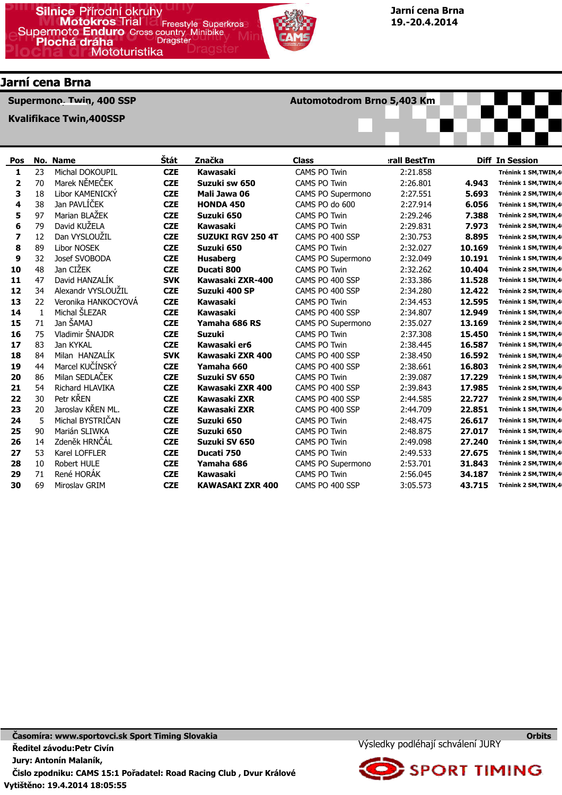

# Jarní cena Brna

Supermono, Twin, 400 SSP

Kvalifikace Twin,400SSP

## Automotodrom Brno 5,403 Km



| Pos |    | No. Name               | Štát       | Značka                   | <b>Class</b>        | rall BestTm |        | <b>Diff In Session</b> |
|-----|----|------------------------|------------|--------------------------|---------------------|-------------|--------|------------------------|
| 1   | 23 | Michal DOKOUPIL        | <b>CZE</b> | Kawasaki                 | <b>CAMS PO Twin</b> | 2:21.858    |        | Trénink 1 SM, TWIN, 4  |
| 2   | 70 | Marek NĚMEČEK          | <b>CZE</b> | Suzuki sw 650            | <b>CAMS PO Twin</b> | 2:26.801    | 4.943  | Trénink 1 SM, TWIN, 4  |
| 3   | 18 | Libor KAMENICKY        | <b>CZE</b> | Mali Jawa 06             | CAMS PO Supermono   | 2:27.551    | 5.693  | Trénink 2 SM, TWIN, 4  |
| 4   | 38 | Jan PAVLÍČEK           | <b>CZE</b> | <b>HONDA 450</b>         | CAMS PO do 600      | 2:27.914    | 6.056  | Trénink 1 SM, TWIN, 4  |
| 5   | 97 | Marian BLAŽEK          | <b>CZE</b> | Suzuki 650               | CAMS PO Twin        | 2:29.246    | 7.388  | Trénink 2 SM, TWIN, 4  |
| 6   | 79 | David KUŽELA           | <b>CZE</b> | Kawasaki                 | <b>CAMS PO Twin</b> | 2:29.831    | 7.973  | Trénink 2 SM, TWIN, 4  |
| 7   | 12 | Dan VYSLOUZIL          | <b>CZE</b> | <b>SUZUKI RGV 250 4T</b> | CAMS PO 400 SSP     | 2:30.753    | 8.895  | Trénink 2 SM, TWIN, 4  |
| 8   | 89 | <b>Libor NOSEK</b>     | <b>CZE</b> | Suzuki 650               | <b>CAMS PO Twin</b> | 2:32.027    | 10.169 | Trénink 1 SM, TWIN, 4  |
| 9   | 32 | Josef SVOBODA          | <b>CZE</b> | <b>Husaberg</b>          | CAMS PO Supermono   | 2:32.049    | 10.191 | Trénink 1 SM, TWIN, 4  |
| 10  | 48 | Jan CIŽEK              | <b>CZE</b> | Ducati 800               | <b>CAMS PO Twin</b> | 2:32.262    | 10.404 | Trénink 2 SM, TWIN, 4  |
| 11  | 47 | David HANZALIK         | <b>SVK</b> | Kawasaki ZXR-400         | CAMS PO 400 SSP     | 2:33.386    | 11.528 | Trénink 1 SM, TWIN, 4  |
| 12  | 34 | Alexandr VYSLOUŽIL     | <b>CZE</b> | Suzuki 400 SP            | CAMS PO 400 SSP     | 2:34.280    | 12.422 | Trénink 2 SM, TWIN, 4  |
| 13  | 22 | Veronika HANKOCYOVÁ    | <b>CZE</b> | Kawasaki                 | <b>CAMS PO Twin</b> | 2:34.453    | 12.595 | Trénink 1 SM, TWIN, 4  |
| 14  | -1 | Michal ŠLEZAR          | <b>CZE</b> | Kawasaki                 | CAMS PO 400 SSP     | 2:34.807    | 12.949 | Trénink 1 SM, TWIN, 4  |
| 15  | 71 | Jan ŠAMAJ              | <b>CZE</b> | Yamaha 686 RS            | CAMS PO Supermono   | 2:35.027    | 13.169 | Trénink 2 SM, TWIN, 4  |
| 16  | 75 | Vladimir ŠNAJDR        | <b>CZE</b> | <b>Suzuki</b>            | CAMS PO Twin        | 2:37.308    | 15.450 | Trénink 1 SM, TWIN, 4  |
| 17  | 83 | Jan KYKAL              | <b>CZE</b> | Kawasaki er6             | <b>CAMS PO Twin</b> | 2:38.445    | 16.587 | Trénink 1 SM, TWIN, 4  |
| 18  | 84 | Milan HANZALİK         | <b>SVK</b> | Kawasaki ZXR 400         | CAMS PO 400 SSP     | 2:38.450    | 16.592 | Trénink 1 SM, TWIN, 4  |
| 19  | 44 | Marcel KUČÍNSKÝ        | <b>CZE</b> | Yamaha 660               | CAMS PO 400 SSP     | 2:38.661    | 16,803 | Trénink 2 SM, TWIN, 4  |
| 20  | 86 | Milan SEDLAČEK         | <b>CZE</b> | Suzuki SV 650            | <b>CAMS PO Twin</b> | 2:39.087    | 17.229 | Trénink 1 SM, TWIN, 4  |
| 21  | 54 | <b>Richard HLAVIKA</b> | <b>CZE</b> | Kawasaki ZXR 400         | CAMS PO 400 SSP     | 2:39.843    | 17.985 | Trénink 2 SM, TWIN, 4  |
| 22  | 30 | Petr KŘEN              | <b>CZE</b> | Kawasaki ZXR             | CAMS PO 400 SSP     | 2:44.585    | 22.727 | Trénink 2 SM, TWIN, 4  |
| 23  | 20 | Jaroslav KŘEN ML.      | <b>CZE</b> | Kawasaki ZXR             | CAMS PO 400 SSP     | 2:44.709    | 22.851 | Trénink 1 SM, TWIN, 4  |
| 24  | 5  | Michal BYSTRICAN       | <b>CZE</b> | Suzuki 650               | <b>CAMS PO Twin</b> | 2:48.475    | 26.617 | Trénink 1 SM, TWIN, 4  |
| 25  | 90 | Marián SLIWKA          | <b>CZE</b> | Suzuki 650               | <b>CAMS PO Twin</b> | 2:48.875    | 27.017 | Trénink 1 SM, TWIN, 4  |
| 26  | 14 | Zdeněk HRNČÁL          | <b>CZE</b> | Suzuki SV 650            | CAMS PO Twin        | 2:49.098    | 27.240 | Trénink 1 SM, TWIN, 4  |
| 27  | 53 | Karel LOFFLER          | <b>CZE</b> | Ducati 750               | <b>CAMS PO Twin</b> | 2:49.533    | 27.675 | Trénink 1 SM, TWIN, 4  |
| 28  | 10 | Robert HULE            | <b>CZE</b> | Yamaha 686               | CAMS PO Supermono   | 2:53.701    | 31.843 | Trénink 2 SM, TWIN, 4  |
| 29  | 71 | René HORAK             | <b>CZE</b> | Kawasaki                 | <b>CAMS PO Twin</b> | 2:56.045    | 34.187 | Trénink 2 SM, TWIN, 4  |
| 30  | 69 | Miroslav GRIM          | <b>CZE</b> | <b>KAWASAKI ZXR 400</b>  | CAMS PO 400 SSP     | 3:05.573    | 43.715 | Trénink 2 SM, TWIN, 4  |

Výsledky podléhají schválení JURY



**Orbits**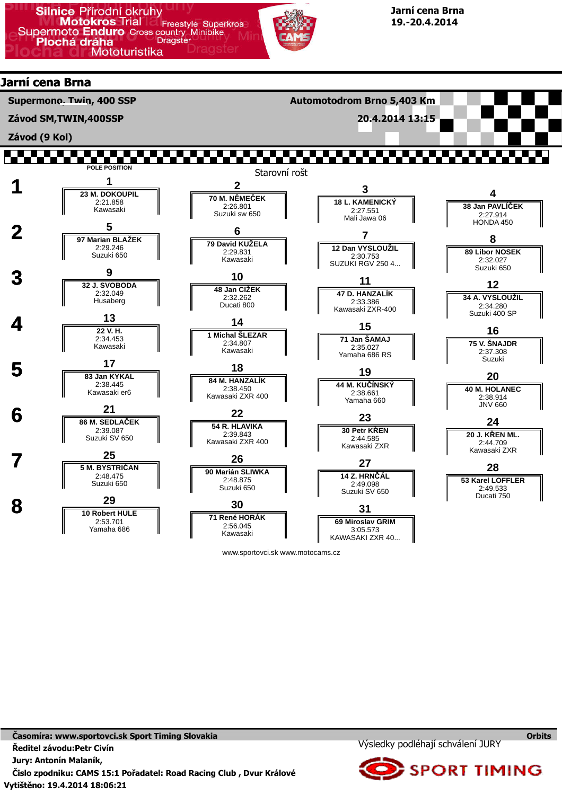

# Jarní cena Brna

Supermono, Twin, 400 SSP

Závod SM,TWIN,400SSP

Závod (9 Kol)

Automotodrom Brno 5,403 Km

20.4.2014 13:15



www.sportovci.sk www.motocams.cz

Výsledky podléhají schválení JURY



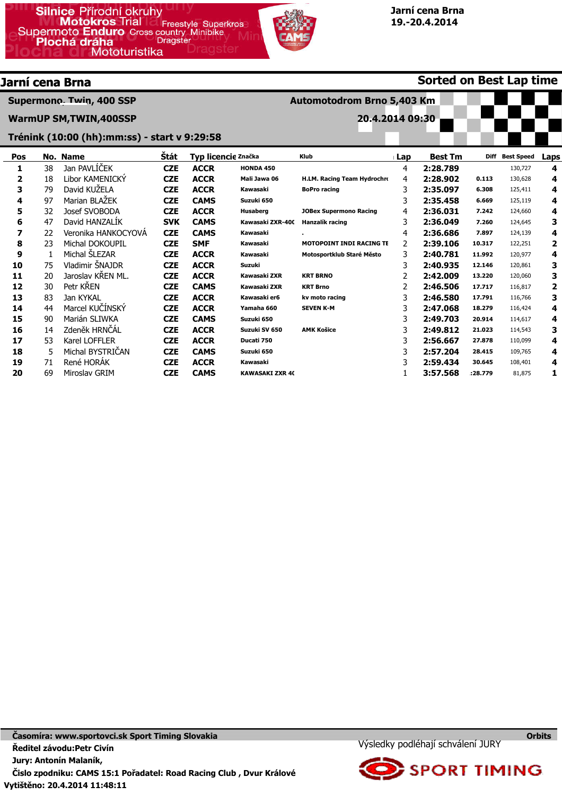

Automotodrom Brno 5,403 Km

20.4.2014 09:30

Sorted on Best Lap time

# Jarní cena Brna

Supermono, Twin, 400 SSP

WarmUP SM,TWIN,400SSP

#### Trénink (10:00 (hh):mm:ss) - start v 9:29:58

| Pos |     | No. Name            | Štát       | Typ licencie Značka |                        | <b>Klub</b>                     | <b>Best Tm</b><br>⊪Lap |          |         | Diff Best Speed | Laps |
|-----|-----|---------------------|------------|---------------------|------------------------|---------------------------------|------------------------|----------|---------|-----------------|------|
|     | 38  | Jan PAVLIČEK        | <b>CZE</b> | <b>ACCR</b>         | <b>HONDA 450</b>       |                                 | 4                      | 2:28.789 |         | 130,727         | 4    |
| 2   | 18  | Libor KAMENICKY     | <b>CZE</b> | <b>ACCR</b>         | Mali Jawa 06           | H.LM. Racing Team Hydrochro     | 4                      | 2:28.902 | 0.113   | 130,628         | 4    |
| 3   | 79  | David KUZELA        | <b>CZE</b> | <b>ACCR</b>         | Kawasaki               | <b>BoPro racing</b>             | 3                      | 2:35.097 | 6.308   | 125,411         | 4    |
| 4   | 97  | Marian BLAŻEK       | <b>CZE</b> | <b>CAMS</b>         | Suzuki 650             |                                 | 3                      | 2:35.458 | 6.669   | 125,119         | 4    |
| 5   | 32  | Josef SVOBODA       | <b>CZE</b> | <b>ACCR</b>         | Husaberg               | <b>JOBex Supermono Racing</b>   | 4                      | 2:36.031 | 7.242   | 124,660         | 4    |
| 6   | 47  | David HANZALIK      | <b>SVK</b> | <b>CAMS</b>         | Kawasaki ZXR-400       | Hanzalík racing                 | 3                      | 2:36.049 | 7.260   | 124,645         | 3    |
| 7   | 22  | Veronika HANKOCYOVA | <b>CZE</b> | <b>CAMS</b>         | Kawasaki               |                                 | 4                      | 2:36.686 | 7.897   | 124,139         | 4    |
| 8   | 23  | Michal DOKOUPIL     | <b>CZE</b> | <b>SMF</b>          | Kawasaki               | <b>MOTOPOINT INDI RACING TE</b> | 2                      | 2:39.106 | 10.317  | 122,251         | 2    |
| 9   |     | Michal SLEZAR       | <b>CZE</b> | <b>ACCR</b>         | Kawasaki               | Motosportklub Staré Město       | 3                      | 2:40.781 | 11.992  | 120,977         | 4    |
| 10  | 75  | Vladimir SNAJDR     | <b>CZE</b> | <b>ACCR</b>         | Suzuki                 |                                 | 3                      | 2:40.935 | 12.146  | 120,861         | 3    |
| 11  | 20  | Jaroslav KŘEN ML.   | <b>CZE</b> | <b>ACCR</b>         | Kawasaki ZXR           | <b>KRT BRNO</b>                 |                        | 2:42.009 | 13.220  | 120,060         | з    |
| 12  | 30. | Petr KREN           | <b>CZE</b> | <b>CAMS</b>         | Kawasaki ZXR           | <b>KRT Brno</b>                 | 2                      | 2:46.506 | 17.717  | 116,817         | 2    |
| 13  | 83  | Jan KYKAL           | <b>CZE</b> | <b>ACCR</b>         | Kawasaki er6           | kv moto racing                  | 3                      | 2:46.580 | 17.791  | 116,766         | 3    |
| 14  | 44  | Marcel KUČÍNSKÝ     | <b>CZE</b> | <b>ACCR</b>         | Yamaha 660             | <b>SEVEN K-M</b>                | 3                      | 2:47.068 | 18.279  | 116,424         | 4    |
| 15  | 90  | Marián SLIWKA       | <b>CZE</b> | <b>CAMS</b>         | Suzuki 650             |                                 | 3                      | 2:49.703 | 20.914  | 114,617         | 4    |
| 16  | 14  | Zdeněk HRNČÁL       | <b>CZE</b> | <b>ACCR</b>         | Suzuki SV 650          | <b>AMK Košice</b>               | 3                      | 2:49.812 | 21.023  | 114,543         | 3    |
| 17  | 53  | Karel LOFFLER       | <b>CZE</b> | <b>ACCR</b>         | Ducati 750             |                                 | 3                      | 2:56.667 | 27.878  | 110,099         | 4    |
| 18  | 5.  | Michal BYSTRICAN    | <b>CZE</b> | <b>CAMS</b>         | Suzuki 650             |                                 | 3                      | 2:57.204 | 28.415  | 109,765         | 4    |
| 19  | 71  | René HORAK          | <b>CZE</b> | <b>ACCR</b>         | Kawasaki               |                                 | 3                      | 2:59.434 | 30.645  | 108,401         | 4    |
| 20  | 69  | Miroslav GRIM       | <b>CZE</b> | <b>CAMS</b>         | <b>KAWASAKI ZXR 40</b> |                                 |                        | 3:57.568 | :28.779 | 81,875          | 1    |



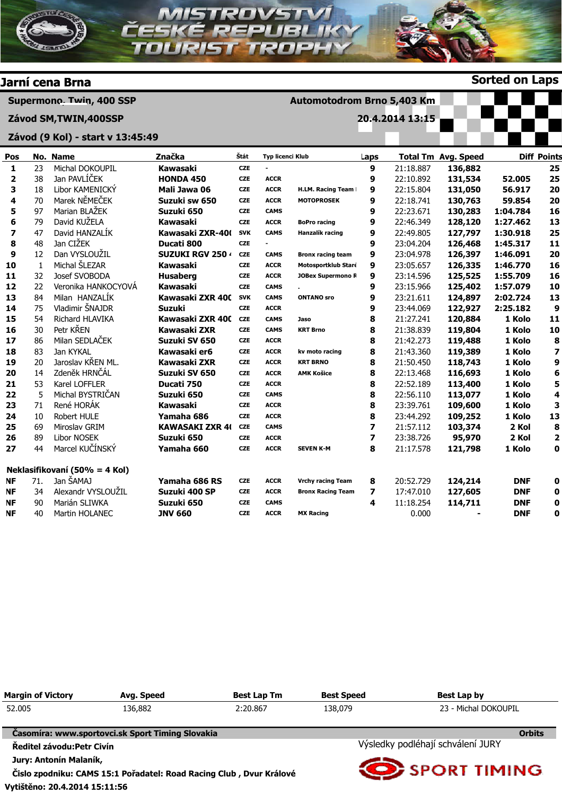

| <b>Margin of Victory</b>   | Avg. Speed                                                          | <b>Best Lap Tm</b>                | <b>Best Speed</b> | Best Lap by          |  |  |
|----------------------------|---------------------------------------------------------------------|-----------------------------------|-------------------|----------------------|--|--|
| 52,005                     | 136,882                                                             | 2:20.867                          | 138,079           | 23 - Michal DOKOUPIL |  |  |
|                            | Časomíra: www.sportovci.sk Sport Timing Slovakia                    |                                   |                   | <b>Orbits</b>        |  |  |
| Ředitel závodu: Petr Civín |                                                                     | Výsledky podléhají schválení JURY |                   |                      |  |  |
| Jury: Antonín Malaník,     | Čislo zpodniku: CAMS 15:1 Pořadatel: Road Racing Club, Dvur Králové | <b>SPORT TIMING</b>               |                   |                      |  |  |

Vytištěno: 20.4.2014 15:11:56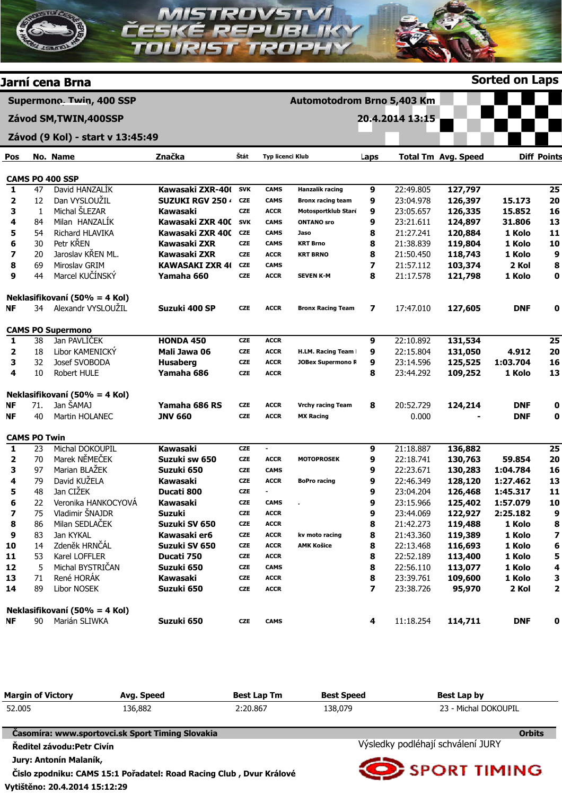

|    |    | Nekiasifikovani (50% = 4 Ko |
|----|----|-----------------------------|
| NF | 90 | Marián SLIWKA               |

Suzuki 650

| <b>Margin of Victory</b>      | Avg. Speed                                                          | <b>Best Lap Tm</b> | <b>Best Speed</b>                 | Best Lap by          |  |  |  |
|-------------------------------|---------------------------------------------------------------------|--------------------|-----------------------------------|----------------------|--|--|--|
| 52.005<br>136,882<br>2:20.867 |                                                                     |                    | 138,079                           | 23 - Michal DOKOUPIL |  |  |  |
|                               | Časomíra: www.sportovci.sk Sport Timing Slovakia                    |                    |                                   | <b>Orbits</b>        |  |  |  |
| Ředitel závodu: Petr Civín    |                                                                     |                    | Výsledky podléhají schválení JURY |                      |  |  |  |
| Jury: Antonín Malaník,        |                                                                     |                    |                                   |                      |  |  |  |
|                               | Čislo zpodniku: CAMS 15:1 Pořadatel: Road Racing Club, Dvur Králové |                    | <b>O</b> SPORT TIMING             |                      |  |  |  |

**CZE** 

CAMS

4

11:18.254

114,711

DNF

0

Vytištěno: 20.4.2014 15:12:29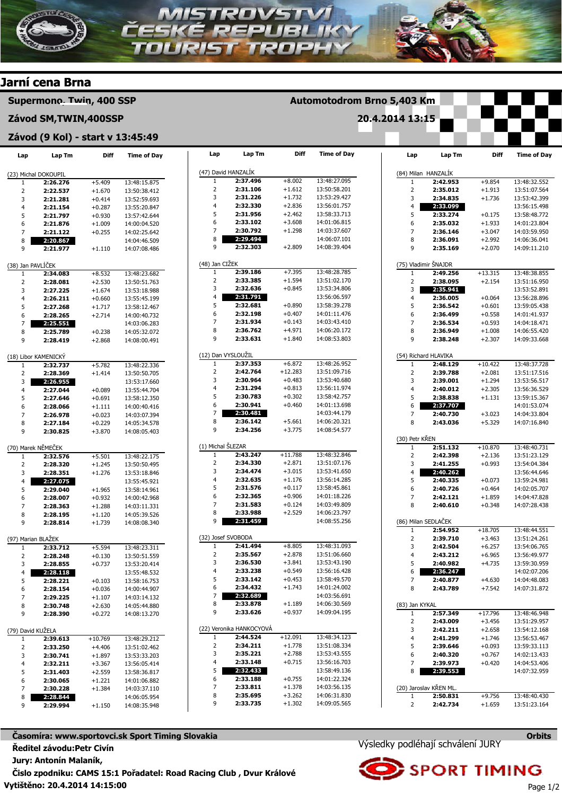



Licence: Videocom Stancel - Sporttiming

Vytištěno: 20.4.2014 14:15:00 Časomíra: www.sportovci.sk Sport Timing Slovakia Ředitel závodu:Petr Civín Jury: Antonín Malaník, Čislo zpodniku: CAMS 15:1 Pořadatel: Road Racing Club , Dvur Králové

14:01:06.882 14:03:37.110 14:06:05.954 14:08:35.948

2:30.065 2:30.228 2:28.844 2:29.994

 $+1.221$ +1.384  $+1.150$ 

2:33.188 2:33.811 2:35.695 2:33.735 +0.755 +1.378 +3.262 +1.302

14:01:22.324 14:03:56.135 14:06:31.830 14:09:05.565

Výsledky podléhají schválení JURY





www.mylaps.com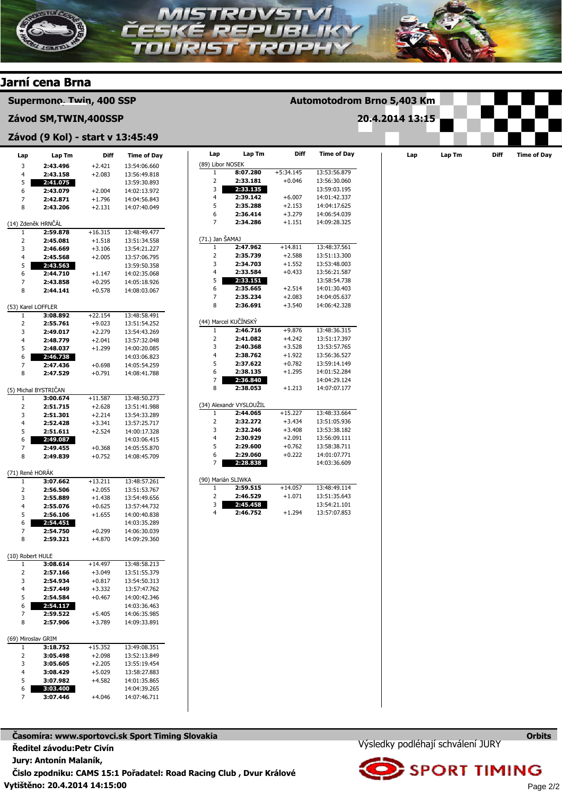

Vytištěno: 20.4.2014 14:15:00 Časomíra: www.sportovci.sk Sport Timing Slovakia Ředitel závodu:Petr Civín Jury: Antonín Malaník, Čislo zpodniku: CAMS 15:1 Pořadatel: Road Racing Club , Dvur Králové

Výsledky podléhají schválení JURY